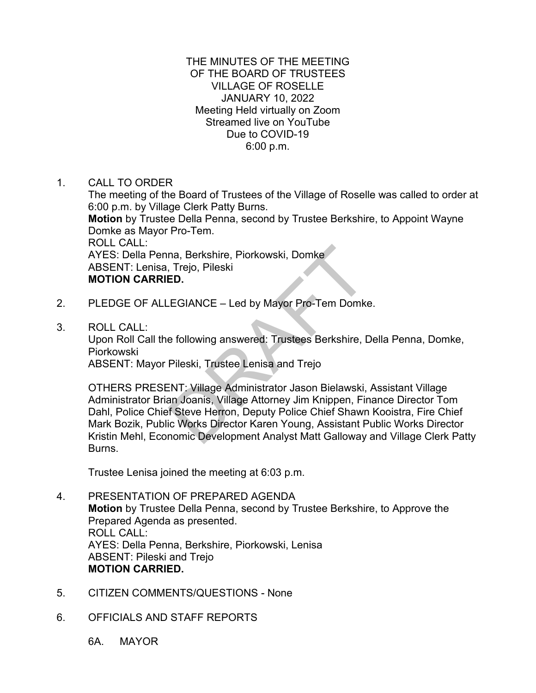### THE MINUTES OF THE MEETING OF THE BOARD OF TRUSTEES VILLAGE OF ROSELLE JANUARY 10, 2022 Meeting Held virtually on Zoom Streamed live on YouTube Due to COVID-19 6:00 p.m.

1. CALL TO ORDER

The meeting of the Board of Trustees of the Village of Roselle was called to order at 6:00 p.m. by Village Clerk Patty Burns. **Motion** by Trustee Della Penna, second by Trustee Berkshire, to Appoint Wayne Domke as Mayor Pro-Tem. ROLL CALL: AYES: Della Penna, Berkshire, Piorkowski, Domke ABSENT: Lenisa, Trejo, Pileski **MOTION CARRIED.**

- 2. PLEDGE OF ALLEGIANCE Led by Mayor Pro-Tem Domke.
- 3. ROLL CALL:

Upon Roll Call the following answered: Trustees Berkshire, Della Penna, Domke, Piorkowski

ABSENT: Mayor Pileski, Trustee Lenisa and Trejo

OTHERS PRESENT: Village Administrator Jason Bielawski, Assistant Village Administrator Brian Joanis, Village Attorney Jim Knippen, Finance Director Tom Dahl, Police Chief Steve Herron, Deputy Police Chief Shawn Kooistra, Fire Chief Mark Bozik, Public Works Director Karen Young, Assistant Public Works Director Kristin Mehl, Economic Development Analyst Matt Galloway and Village Clerk Patty Burns. na, Berkshire, Piorkowski, Domke<br>
Trejo, Pileski<br>
ED.<br>
EGIANCE – Led by Mayor Pro-Tem Domke<br>
e following answered: Trustees Berkshire, I<br>
Pileski, Trustee Lenisa and Trejo<br>
ENT: Village Administrator Jason Bielawski,<br>
INT:

Trustee Lenisa joined the meeting at 6:03 p.m.

- 4. PRESENTATION OF PREPARED AGENDA **Motion** by Trustee Della Penna, second by Trustee Berkshire, to Approve the Prepared Agenda as presented. ROLL CALL: AYES: Della Penna, Berkshire, Piorkowski, Lenisa ABSENT: Pileski and Trejo **MOTION CARRIED.**
- 5. CITIZEN COMMENTS/QUESTIONS None
- 6. OFFICIALS AND STAFF REPORTS

6A. MAYOR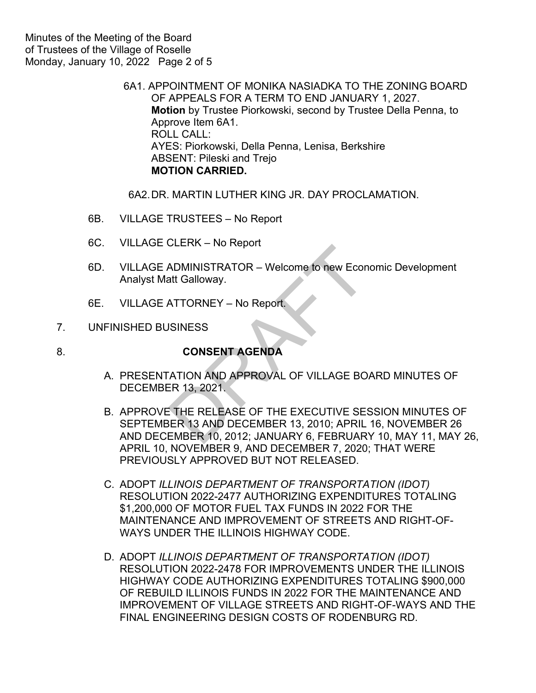6A1. APPOINTMENT OF MONIKA NASIADKA TO THE ZONING BOARD OF APPEALS FOR A TERM TO END JANUARY 1, 2027. **Motion** by Trustee Piorkowski, second by Trustee Della Penna, to Approve Item 6A1. ROLL CALL: AYES: Piorkowski, Della Penna, Lenisa, Berkshire ABSENT: Pileski and Trejo **MOTION CARRIED.**

6A2.DR. MARTIN LUTHER KING JR. DAY PROCLAMATION.

- 6B. VILLAGE TRUSTEES No Report
- 6C. VILLAGE CLERK No Report
- 6D. VILLAGE ADMINISTRATOR Welcome to new Economic Development Analyst Matt Galloway.
- 6E. VILLAGE ATTORNEY No Report.

### 7. UNFINISHED BUSINESS

# 8. **CONSENT AGENDA**

- A. PRESENTATION AND APPROVAL OF VILLAGE BOARD MINUTES OF DECEMBER 13, 2021.
- B. APPROVE THE RELEASE OF THE EXECUTIVE SESSION MINUTES OF SEPTEMBER 13 AND DECEMBER 13, 2010; APRIL 16, NOVEMBER 26 AND DECEMBER 10, 2012; JANUARY 6, FEBRUARY 10, MAY 11, MAY 26, APRIL 10, NOVEMBER 9, AND DECEMBER 7, 2020; THAT WERE PREVIOUSLY APPROVED BUT NOT RELEASED. ADMINISTRATOR – Welcome to new Econ<br>att Galloway.<br>ATTORNEY – No Report.<br>ISINESS<br>CONSENT AGENDA<br>ATION AND APPROVAL OF VILLAGE BO<br>ER 13, 2021.<br>ETHE RELEASE OF THE EXECUTIVE SES<br>JER 13 AND DECEMBER 13, 2010; APRIL<br>EMBER 10, 2
- C. ADOPT *ILLINOIS DEPARTMENT OF TRANSPORTATION (IDOT)* RESOLUTION 2022-2477 AUTHORIZING EXPENDITURES TOTALING \$1,200,000 OF MOTOR FUEL TAX FUNDS IN 2022 FOR THE MAINTENANCE AND IMPROVEMENT OF STREETS AND RIGHT-OF-WAYS UNDER THE ILLINOIS HIGHWAY CODE.
- D. ADOPT *ILLINOIS DEPARTMENT OF TRANSPORTATION (IDOT)* RESOLUTION 2022-2478 FOR IMPROVEMENTS UNDER THE ILLINOIS HIGHWAY CODE AUTHORIZING EXPENDITURES TOTALING \$900,000 OF REBUILD ILLINOIS FUNDS IN 2022 FOR THE MAINTENANCE AND IMPROVEMENT OF VILLAGE STREETS AND RIGHT-OF-WAYS AND THE FINAL ENGINEERING DESIGN COSTS OF RODENBURG RD.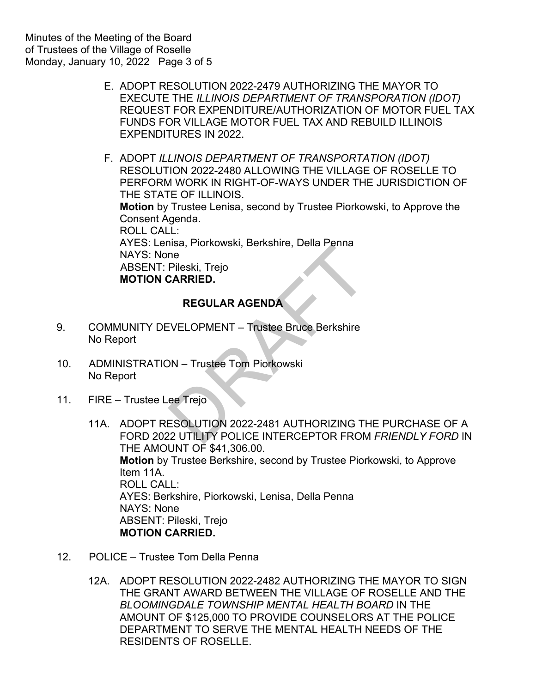E. ADOPT RESOLUTION 2022-2479 AUTHORIZING THE MAYOR TO EXECUTE THE *ILLINOIS DEPARTMENT OF TRANSPORATION (IDOT)* REQUEST FOR EXPENDITURE/AUTHORIZATION OF MOTOR FUEL TAX FUNDS FOR VILLAGE MOTOR FUEL TAX AND REBUILD ILLINOIS EXPENDITURES IN 2022.

F. ADOPT *ILLINOIS DEPARTMENT OF TRANSPORTATION (IDOT)* RESOLUTION 2022-2480 ALLOWING THE VILLAGE OF ROSELLE TO PERFORM WORK IN RIGHT-OF-WAYS UNDER THE JURISDICTION OF THE STATE OF ILLINOIS. **Motion** by Trustee Lenisa, second by Trustee Piorkowski, to Approve the Consent Agenda. ROLL CALL: AYES: Lenisa, Piorkowski, Berkshire, Della Penna NAYS: None ABSENT: Pileski, Trejo  **MOTION CARRIED.**  IISa, Floridwski, Berkshire, Belia Ferma<br>
Pileski, Trejo<br> **REGULAR AGENDA<br>
EVELOPMENT – Trustee Bruce Berkshire**<br>
DN – Trustee Tom Piorkowski<br>
ee Trejo<br>
ESOLUTION 2022-2481 AUTHORIZING TH<br>
22 UTILITY POLICE INTERCEPTOR FRO

## **REGULAR AGENDA**

- 9. COMMUNITY DEVELOPMENT Trustee Bruce Berkshire No Report
- 10. ADMINISTRATION Trustee Tom Piorkowski No Report
- 11. FIRE Trustee Lee Trejo
	- 11A. ADOPT RESOLUTION 2022-2481 AUTHORIZING THE PURCHASE OF A FORD 2022 UTILITY POLICE INTERCEPTOR FROM *FRIENDLY FORD* IN THE AMOUNT OF \$41,306.00. **Motion** by Trustee Berkshire, second by Trustee Piorkowski, to Approve Item 11A. ROLL CALL: AYES: Berkshire, Piorkowski, Lenisa, Della Penna NAYS: None ABSENT: Pileski, Trejo **MOTION CARRIED.**
- 12. POLICE Trustee Tom Della Penna
	- 12A. ADOPT RESOLUTION 2022-2482 AUTHORIZING THE MAYOR TO SIGN THE GRANT AWARD BETWEEN THE VILLAGE OF ROSELLE AND THE *BLOOMINGDALE TOWNSHIP MENTAL HEALTH BOARD* IN THE AMOUNT OF \$125,000 TO PROVIDE COUNSELORS AT THE POLICE DEPARTMENT TO SERVE THE MENTAL HEALTH NEEDS OF THE RESIDENTS OF ROSELLE.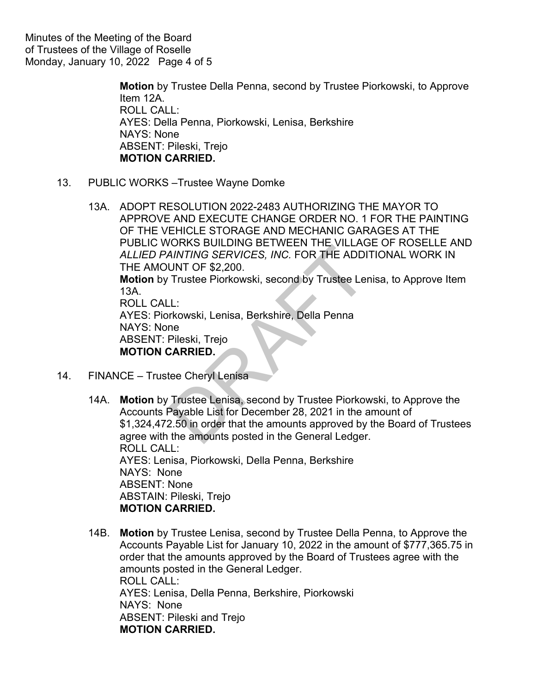Minutes of the Meeting of the Board of Trustees of the Village of Roselle Monday, January 10, 2022 Page 4 of 5

> **Motion** by Trustee Della Penna, second by Trustee Piorkowski, to Approve Item 12A. ROLL CALL: AYES: Della Penna, Piorkowski, Lenisa, Berkshire NAYS: None ABSENT: Pileski, Trejo **MOTION CARRIED.**

- 13. PUBLIC WORKS –Trustee Wayne Domke
	- 13A. ADOPT RESOLUTION 2022-2483 AUTHORIZING THE MAYOR TO APPROVE AND EXECUTE CHANGE ORDER NO. 1 FOR THE PAINTING OF THE VEHICLE STORAGE AND MECHANIC GARAGES AT THE PUBLIC WORKS BUILDING BETWEEN THE VILLAGE OF ROSELLE AND *ALLIED PAINTING SERVICES, INC.* FOR THE ADDITIONAL WORK IN THE AMOUNT OF \$2,200. **Motion** by Trustee Piorkowski, second by Trustee Lenisa, to Approve Item 13A. ROLL CALL: AYES: Piorkowski, Lenisa, Berkshire, Della Penna NAYS: None ABSENT: Pileski, Trejo NUMTING SERVICES, INC. FOR THE VIELA<br>
	NUNT OF \$2,200.<br>
	Trustee Piorkowski, second by Trustee Lence<br>
	L:<br>
	Trustee Piorkowski, second by Trustee Lence<br>
	Trustee Lenisa, Berkshire, Della Penna<br>
	Trustee Lenisa, second by Trustee

**MOTION CARRIED.**

- 14. FINANCE Trustee Cheryl Lenisa
	- 14A. **Motion** by Trustee Lenisa, second by Trustee Piorkowski, to Approve the Accounts Payable List for December 28, 2021 in the amount of \$1,324,472.50 in order that the amounts approved by the Board of Trustees agree with the amounts posted in the General Ledger. ROLL CALL: AYES: Lenisa, Piorkowski, Della Penna, Berkshire NAYS: None ABSENT: None ABSTAIN: Pileski, Trejo **MOTION CARRIED.**
	- 14B. **Motion** by Trustee Lenisa, second by Trustee Della Penna, to Approve the Accounts Payable List for January 10, 2022 in the amount of \$777,365.75 in order that the amounts approved by the Board of Trustees agree with the amounts posted in the General Ledger. ROLL CALL: AYES: Lenisa, Della Penna, Berkshire, Piorkowski NAYS: None ABSENT: Pileski and Trejo **MOTION CARRIED.**